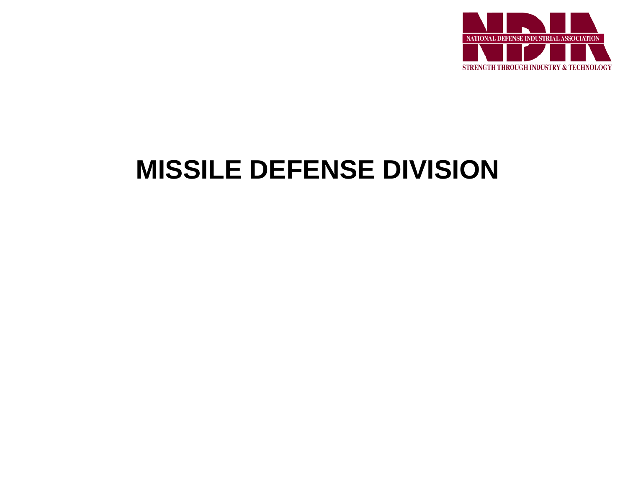

# **MISSILE DEFENSE DIVISION**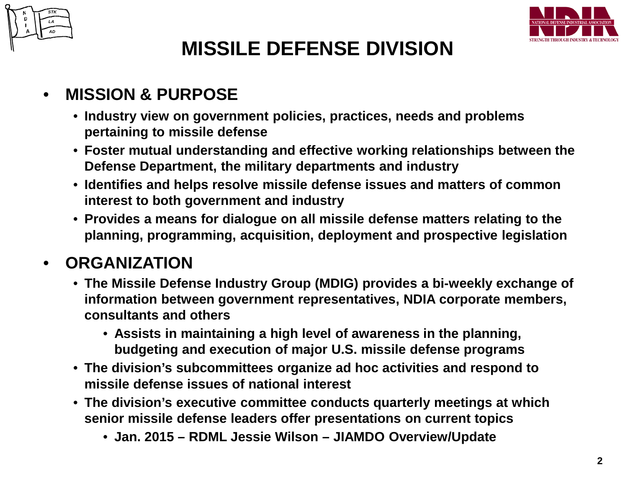



# **MISSILE DEFENSE DIVISION**

### • **MISSION & PURPOSE**

- **Industry view on government policies, practices, needs and problems pertaining to missile defense**
- **Foster mutual understanding and effective working relationships between the Defense Department, the military departments and industry**
- **Identifies and helps resolve missile defense issues and matters of common interest to both government and industry**
- **Provides a means for dialogue on all missile defense matters relating to the planning, programming, acquisition, deployment and prospective legislation**

## • **ORGANIZATION**

- **The Missile Defense Industry Group (MDIG) provides a bi-weekly exchange of information between government representatives, NDIA corporate members, consultants and others** 
	- **Assists in maintaining a high level of awareness in the planning, budgeting and execution of major U.S. missile defense programs**
- **The division's subcommittees organize ad hoc activities and respond to missile defense issues of national interest**
- **The division's executive committee conducts quarterly meetings at which senior missile defense leaders offer presentations on current topics**
	- **Jan. 2015 – RDML Jessie Wilson – JIAMDO Overview/Update**